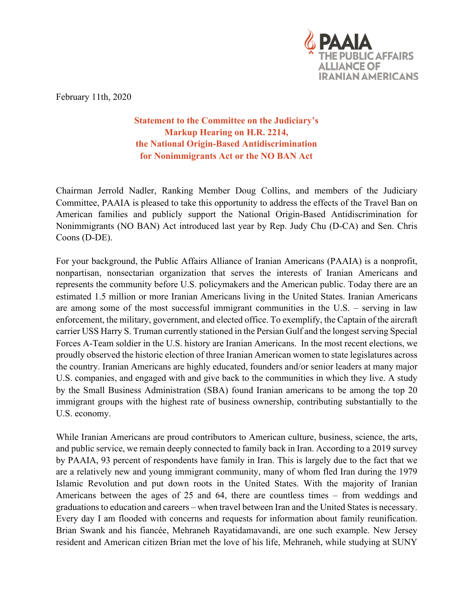

February 11th, 2020

**Statement to the Committee on the Judiciary's Markup Hearing on H.R. 2214, the National Origin-Based Antidiscrimination for Nonimmigrants Act or the NO BAN Act**

Chairman Jerrold Nadler, Ranking Member Doug Collins, and members of the Judiciary Committee, PAAIA is pleased to take this opportunity to address the effects of the Travel Ban on American families and publicly support the National Origin-Based Antidiscrimination for Nonimmigrants (NO BAN) Act introduced last year by Rep. Judy Chu (D-CA) and Sen. Chris Coons (D-DE).

For your background, the Public Affairs Alliance of Iranian Americans (PAAIA) is a nonprofit, nonpartisan, nonsectarian organization that serves the interests of Iranian Americans and represents the community before U.S. policymakers and the American public. Today there are an estimated 1.5 million or more Iranian Americans living in the United States. Iranian Americans are among some of the most successful immigrant communities in the U.S. – serving in law enforcement, the military, government, and elected office. To exemplify, the Captain of the aircraft carrier USS Harry S. Truman currently stationed in the Persian Gulf and the longest serving Special Forces A-Team soldier in the U.S. history are Iranian Americans. In the most recent elections, we proudly observed the historic election of three Iranian American women to state legislatures across the country. Iranian Americans are highly educated, founders and/or senior leaders at many major U.S. companies, and engaged with and give back to the communities in which they live. A study by the Small Business Administration (SBA) found Iranian americans to be among the top 20 immigrant groups with the highest rate of business ownership, contributing substantially to the U.S. economy.

While Iranian Americans are proud contributors to American culture, business, science, the arts, and public service, we remain deeply connected to family back in Iran. According to a 2019 survey by PAAIA, 93 percent of respondents have family in Iran. This is largely due to the fact that we are a relatively new and young immigrant community, many of whom fled Iran during the 1979 Islamic Revolution and put down roots in the United States. With the majority of Iranian Americans between the ages of 25 and 64, there are countless times – from weddings and graduations to education and careers – when travel between Iran and the United States is necessary. Every day I am flooded with concerns and requests for information about family reunification. Brian Swank and his fiancée, Mehraneh Rayatidamavandi, are one such example. New Jersey resident and American citizen Brian met the love of his life, Mehraneh, while studying at SUNY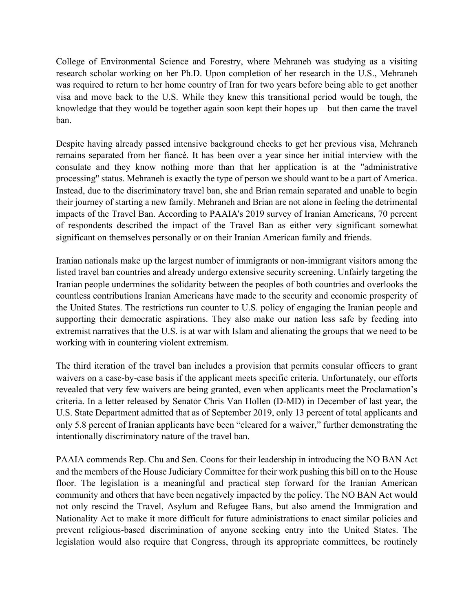College of Environmental Science and Forestry, where Mehraneh was studying as a visiting research scholar working on her Ph.D. Upon completion of her research in the U.S., Mehraneh was required to return to her home country of Iran for two years before being able to get another visa and move back to the U.S. While they knew this transitional period would be tough, the knowledge that they would be together again soon kept their hopes up – but then came the travel ban.

Despite having already passed intensive background checks to get her previous visa, Mehraneh remains separated from her fiancé. It has been over a year since her initial interview with the consulate and they know nothing more than that her application is at the "administrative processing" status. Mehraneh is exactly the type of person we should want to be a part of America. Instead, due to the discriminatory travel ban, she and Brian remain separated and unable to begin their journey of starting a new family. Mehraneh and Brian are not alone in feeling the detrimental impacts of the Travel Ban. According to PAAIA's 2019 survey of Iranian Americans, 70 percent of respondents described the impact of the Travel Ban as either very significant somewhat significant on themselves personally or on their Iranian American family and friends.

Iranian nationals make up the largest number of immigrants or non-immigrant visitors among the listed travel ban countries and already undergo extensive security screening. Unfairly targeting the Iranian people undermines the solidarity between the peoples of both countries and overlooks the countless contributions Iranian Americans have made to the security and economic prosperity of the United States. The restrictions run counter to U.S. policy of engaging the Iranian people and supporting their democratic aspirations. They also make our nation less safe by feeding into extremist narratives that the U.S. is at war with Islam and alienating the groups that we need to be working with in countering violent extremism.

The third iteration of the travel ban includes a provision that permits consular officers to grant waivers on a case-by-case basis if the applicant meets specific criteria. Unfortunately, our efforts revealed that very few waivers are being granted, even when applicants meet the Proclamation's criteria. In a letter released by Senator Chris Van Hollen (D-MD) in December of last year, the U.S. State Department admitted that as of September 2019, only 13 percent of total applicants and only 5.8 percent of Iranian applicants have been "cleared for a waiver," further demonstrating the intentionally discriminatory nature of the travel ban.

PAAIA commends Rep. Chu and Sen. Coons for their leadership in introducing the NO BAN Act and the members of the House Judiciary Committee for their work pushing this bill on to the House floor. The legislation is a meaningful and practical step forward for the Iranian American community and others that have been negatively impacted by the policy. The NO BAN Act would not only rescind the Travel, Asylum and Refugee Bans, but also amend the Immigration and Nationality Act to make it more difficult for future administrations to enact similar policies and prevent religious-based discrimination of anyone seeking entry into the United States. The legislation would also require that Congress, through its appropriate committees, be routinely